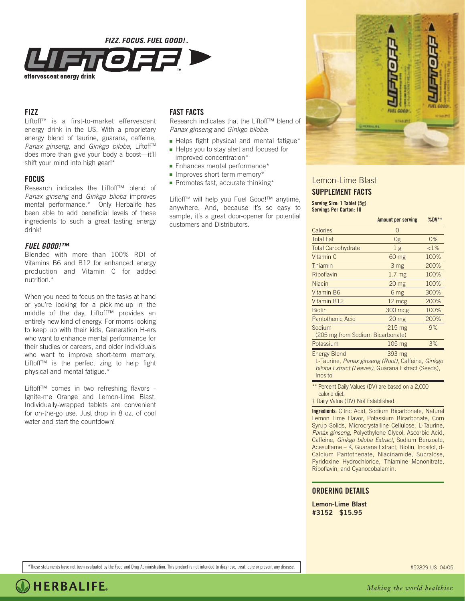

## **FIZZ**

Liftoff™ is a first-to-market effervescent energy drink in the US. With a proprietary energy blend of taurine, guarana, caffeine, *Panax ginseng*, and *Ginkgo biloba*, Liftoff™ does more than give your body a boost—it'll shift your mind into high gear!\*

## **FOCUS**

Research indicates the Liftoff™ blend of *Panax ginseng* and *Ginkgo biloba* improves mental performance.\* Only Herbalife has been able to add beneficial levels of these ingredients to such a great tasting energy drink!

### *FUEL GOOD!™*

Blended with more than 100% RDI of Vitamins B6 and B12 for enhanced energy production and Vitamin C for added nutrition.\*

When you need to focus on the tasks at hand or you're looking for a pick-me-up in the middle of the day, Liftoff™ provides an entirely new kind of energy. For moms looking to keep up with their kids, Generation H-ers who want to enhance mental performance for their studies or careers, and older individuals who want to improve short-term memory, Liftoff™ is the perfect zing to help fight physical and mental fatigue.\*

Liftoff™ comes in two refreshing flavors - Ignite-me Orange and Lemon-Lime Blast. Individually-wrapped tablets are convenient for on-the-go use. Just drop in 8 oz. of cool water and start the countdown!

# **FAST FACTS**

Research indicates that the Liftoff™ blend of *Panax ginseng* and *Ginkgo biloba*:

- Helps fight physical and mental fatigue\*
- Helps you to stay alert and focused for improved concentration\*
- Enhances mental performance\*
- Improves short-term memory\*
- Promotes fast, accurate thinking\*

Liftoff™ will help you Fuel Good!™ anytime, anywhere. And, because it's so easy to sample, it's a great door-opener for potential customers and Distributors.



Lemon-Lime Blast **SUPPLEMENT FACTS Serving Size: 1 Tablet (5g) Servings Per Carton: 10**

|                                                                                       | <b>Amount per serving</b> | $%DV**$  |
|---------------------------------------------------------------------------------------|---------------------------|----------|
| Calories                                                                              | $\Omega$                  |          |
| <b>Total Fat</b>                                                                      | 0g                        | $0\%$    |
| <b>Total Carbohydrate</b>                                                             | 1 <sub>g</sub>            | ${<}1\%$ |
| Vitamin C                                                                             | 60 mg                     | 100%     |
| Thiamin                                                                               | 3 mg                      | 200%     |
| Riboflavin                                                                            | 1.7 <sub>mg</sub>         | 100%     |
| <b>Niacin</b>                                                                         | 20 <sub>mg</sub>          | 100%     |
| Vitamin B6                                                                            | 6 mg                      | 300%     |
| Vitamin B12                                                                           | 12 mcg                    | 200%     |
| <b>Biotin</b>                                                                         | 300 mcg                   | 100%     |
| <b>Pantothenic Acid</b>                                                               | 20 <sub>mg</sub>          | 200%     |
| Sodium                                                                                | $215 \text{ mg}$          | 9%       |
| (205 mg from Sodium Bicarbonate)                                                      |                           |          |
| Potassium                                                                             | 105 mg                    | 3%       |
| <b>Energy Blend</b><br>$\Gamma$ Termina Demainson $(D_{\text{ref}})$ Caffeina Ciplina | 393 mg                    |          |

L-Taurine, *Panax ginseng (Root)*, Caffeine, *Ginkgo biloba Extract (Leaves)*, Guarana Extract (Seeds), Inositol

\*\* Percent Daily Values (DV) are based on a 2,000 calorie diet.

† Daily Value (DV) Not Established.

**Ingredients:** Citric Acid, Sodium Bicarbonate, Natural Lemon Lime Flavor, Potassium Bicarbonate, Corn Syrup Solids, Microcrystalline Cellulose, L-Taurine, *Panax ginseng*, Polyethylene Glycol, Ascorbic Acid, Caffeine, *Ginkgo biloba Extract*, Sodium Benzoate, Acesulfame – K, Guarana Extract, Biotin, Inositol, d-Calcium Pantothenate, Niacinamide, Sucralose, Pyridoxine Hydrochloride, Thiamine Mononitrate, Riboflavin, and Cyanocobalamin.

#### **ORDERING DETAILS**

**Lemon-Lime Blast #3152 \$15.95**

\*These statements have not been evaluated by the Food and Drug Administration. This product is not intended to diagnose, treat, cure or prevent any disease.

#52829-US 04/05